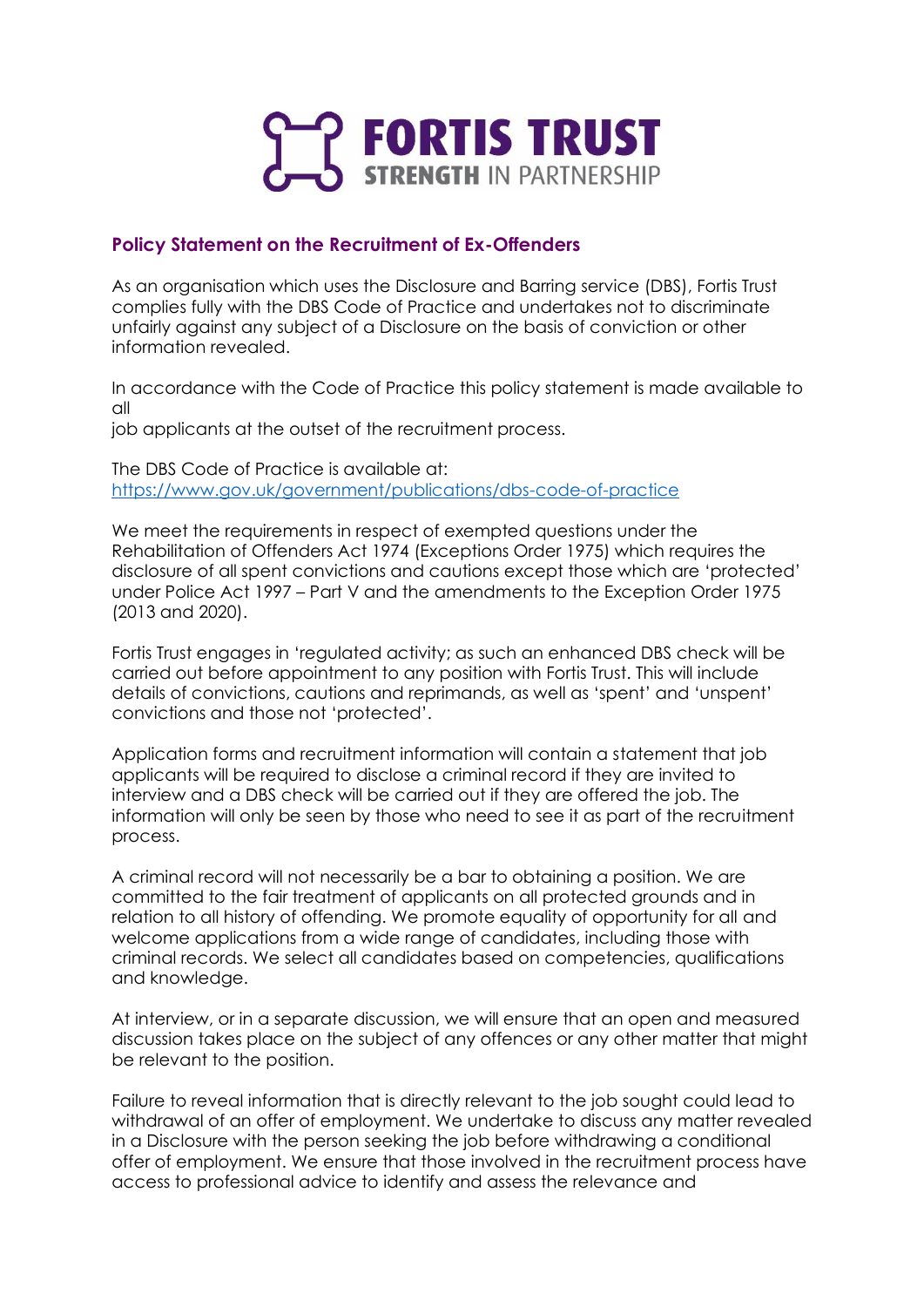

## **Policy Statement on the Recruitment of Ex-Offenders**

As an organisation which uses the Disclosure and Barring service (DBS), Fortis Trust complies fully with the DBS Code of Practice and undertakes not to discriminate unfairly against any subject of a Disclosure on the basis of conviction or other information revealed.

In accordance with the Code of Practice this policy statement is made available to all

job applicants at the outset of the recruitment process.

The DBS Code of Practice is available at: <https://www.gov.uk/government/publications/dbs-code-of-practice>

We meet the requirements in respect of exempted questions under the Rehabilitation of Offenders Act 1974 (Exceptions Order 1975) which requires the disclosure of all spent convictions and cautions except those which are 'protected' under Police Act 1997 – Part V and the amendments to the Exception Order 1975 (2013 and 2020).

Fortis Trust engages in 'regulated activity; as such an enhanced DBS check will be carried out before appointment to any position with Fortis Trust. This will include details of convictions, cautions and reprimands, as well as 'spent' and 'unspent' convictions and those not 'protected'.

Application forms and recruitment information will contain a statement that job applicants will be required to disclose a criminal record if they are invited to interview and a DBS check will be carried out if they are offered the job. The information will only be seen by those who need to see it as part of the recruitment process.

A criminal record will not necessarily be a bar to obtaining a position. We are committed to the fair treatment of applicants on all protected grounds and in relation to all history of offending. We promote equality of opportunity for all and welcome applications from a wide range of candidates, including those with criminal records. We select all candidates based on competencies, qualifications and knowledge.

At interview, or in a separate discussion, we will ensure that an open and measured discussion takes place on the subject of any offences or any other matter that might be relevant to the position.

Failure to reveal information that is directly relevant to the job sought could lead to withdrawal of an offer of employment. We undertake to discuss any matter revealed in a Disclosure with the person seeking the job before withdrawing a conditional offer of employment. We ensure that those involved in the recruitment process have access to professional advice to identify and assess the relevance and